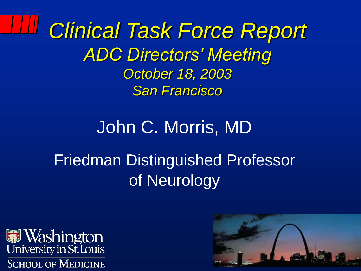*Clinical Task Force Report ADC Directors' Meeting October 18, 2003 San Francisco*

#### John C. Morris, MD Friedman Distinguished Professor of Neurology



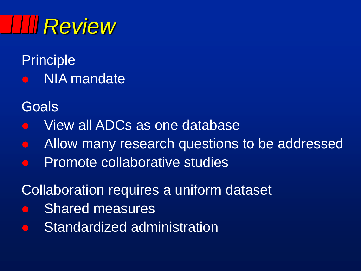# *Review*

Principle **•** NIA mandate

**Goals** 

- View all ADCs as one database
- Allow many research questions to be addressed
- **Promote collaborative studies**

Collaboration requires a uniform dataset

- Shared measures
- Standardized administration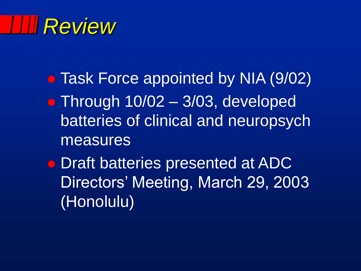### *Review*

- Task Force appointed by NIA (9/02) • Through 10/02 - 3/03, developed batteries of clinical and neuropsych measures
- **Draft batteries presented at ADC** Directors' Meeting, March 29, 2003 (Honolulu)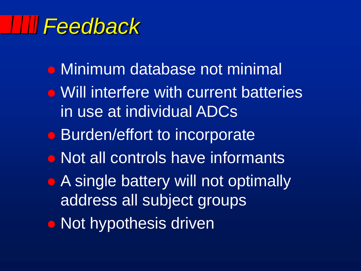### *Feedback*

- Minimum database not minimal
- Will interfere with current batteries in use at individual ADCs
- Burden/effort to incorporate
- Not all controls have informants
- A single battery will not optimally address all subject groups
- **Not hypothesis driven**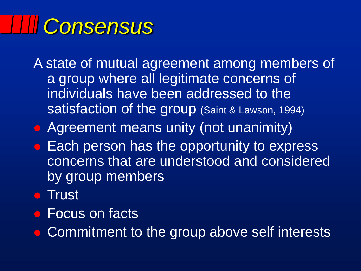# *Consensus*

A state of mutual agreement among members of a group where all legitimate concerns of individuals have been addressed to the satisfaction of the group (Saint & Lawson, 1994)

- **Agreement means unity (not unanimity)**
- **Each person has the opportunity to express** concerns that are understood and considered by group members
- **Trust**
- **Focus on facts**

• Commitment to the group above self interests